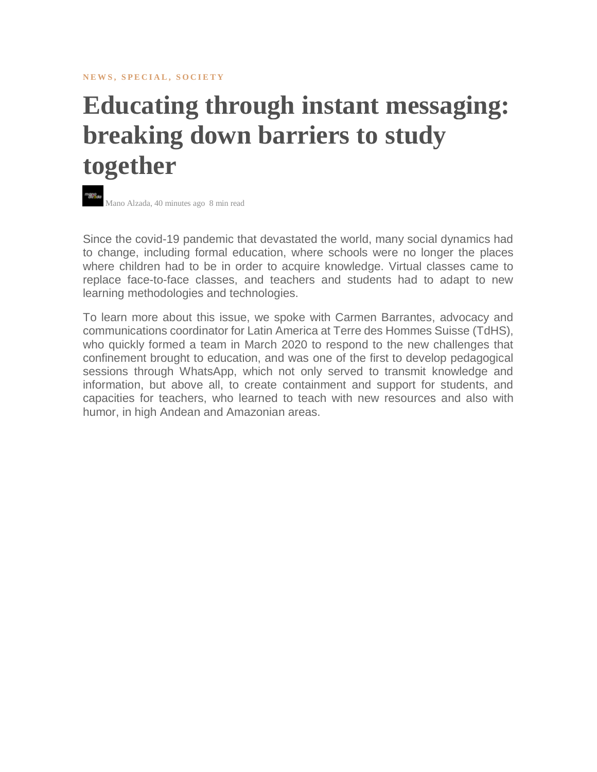**NEWS, SPECIAL, SOCIETY** 

## **Educating through instant messaging: breaking down barriers to study together**



Since the covid-19 pandemic that devastated the world, many social dynamics had to change, including formal education, where schools were no longer the places where children had to be in order to acquire knowledge. Virtual classes came to replace face-to-face classes, and teachers and students had to adapt to new learning methodologies and technologies.

To learn more about this issue, we spoke with Carmen Barrantes, advocacy and communications coordinator for Latin America at Terre des Hommes Suisse (TdHS), who quickly formed a team in March 2020 to respond to the new challenges that confinement brought to education, and was one of the first to develop pedagogical sessions through WhatsApp, which not only served to transmit knowledge and information, but above all, to create containment and support for students, and capacities for teachers, who learned to teach with new resources and also with humor, in high Andean and Amazonian areas.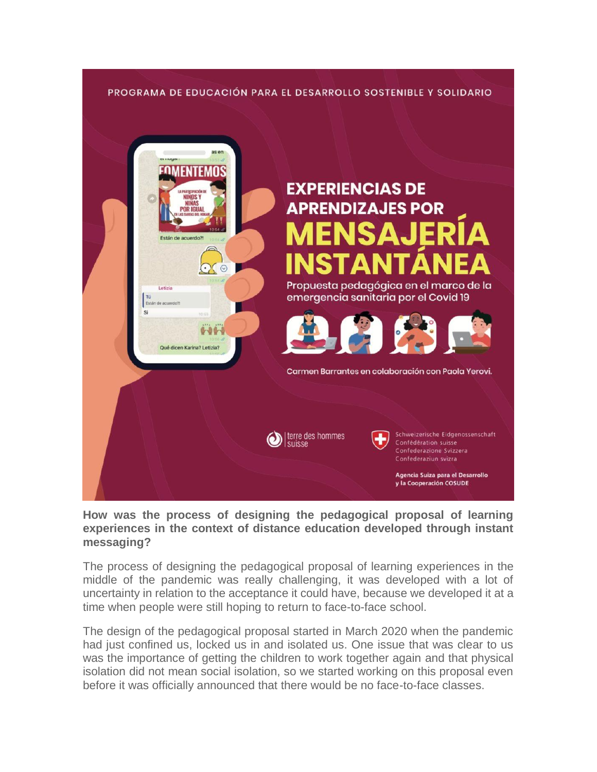## PROGRAMA DE EDUCACIÓN PARA EL DESARROLLO SOSTENIBLE Y SOLIDARIO



**How was the process of designing the pedagogical proposal of learning experiences in the context of distance education developed through instant messaging?**

The process of designing the pedagogical proposal of learning experiences in the middle of the pandemic was really challenging, it was developed with a lot of uncertainty in relation to the acceptance it could have, because we developed it at a time when people were still hoping to return to face-to-face school.

The design of the pedagogical proposal started in March 2020 when the pandemic had just confined us, locked us in and isolated us. One issue that was clear to us was the importance of getting the children to work together again and that physical isolation did not mean social isolation, so we started working on this proposal even before it was officially announced that there would be no face-to-face classes.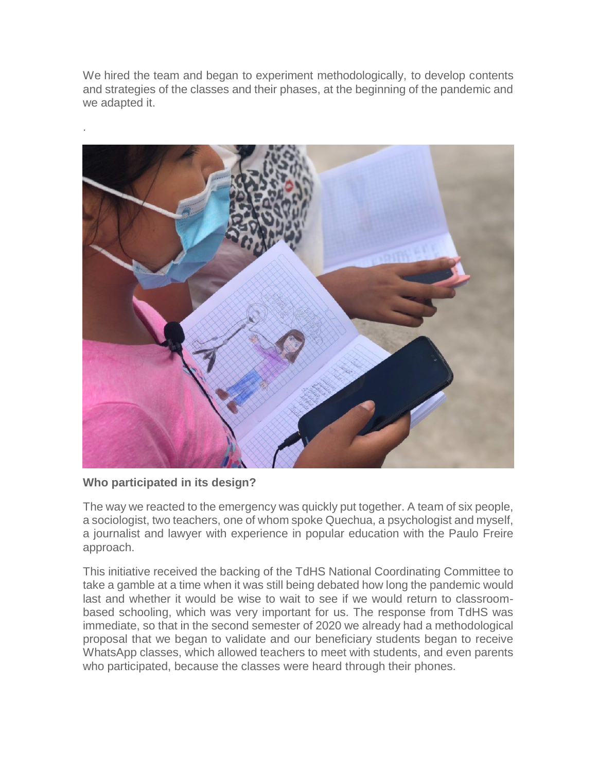We hired the team and began to experiment methodologically, to develop contents and strategies of the classes and their phases, at the beginning of the pandemic and we adapted it.



## **Who participated in its design?**

.

The way we reacted to the emergency was quickly put together. A team of six people, a sociologist, two teachers, one of whom spoke Quechua, a psychologist and myself, a journalist and lawyer with experience in popular education with the Paulo Freire approach.

This initiative received the backing of the TdHS National Coordinating Committee to take a gamble at a time when it was still being debated how long the pandemic would last and whether it would be wise to wait to see if we would return to classroombased schooling, which was very important for us. The response from TdHS was immediate, so that in the second semester of 2020 we already had a methodological proposal that we began to validate and our beneficiary students began to receive WhatsApp classes, which allowed teachers to meet with students, and even parents who participated, because the classes were heard through their phones.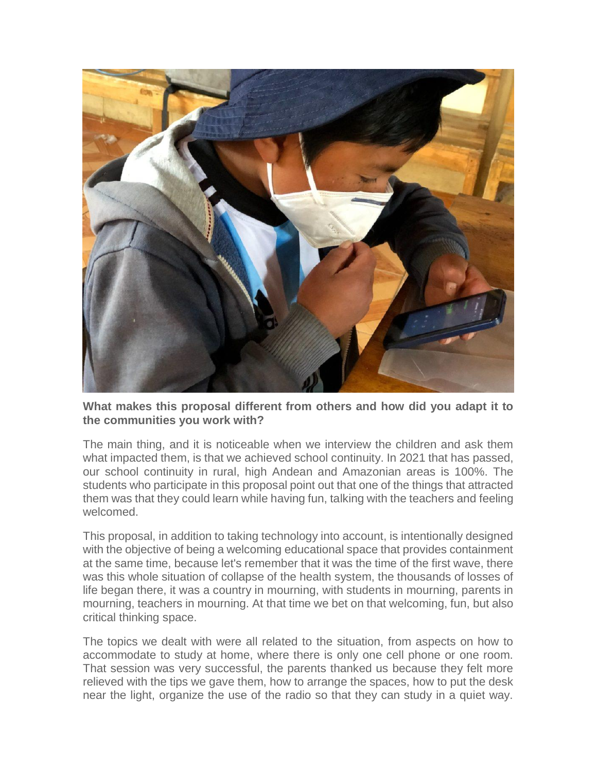

**What makes this proposal different from others and how did you adapt it to the communities you work with?**

The main thing, and it is noticeable when we interview the children and ask them what impacted them, is that we achieved school continuity. In 2021 that has passed, our school continuity in rural, high Andean and Amazonian areas is 100%. The students who participate in this proposal point out that one of the things that attracted them was that they could learn while having fun, talking with the teachers and feeling welcomed.

This proposal, in addition to taking technology into account, is intentionally designed with the objective of being a welcoming educational space that provides containment at the same time, because let's remember that it was the time of the first wave, there was this whole situation of collapse of the health system, the thousands of losses of life began there, it was a country in mourning, with students in mourning, parents in mourning, teachers in mourning. At that time we bet on that welcoming, fun, but also critical thinking space.

The topics we dealt with were all related to the situation, from aspects on how to accommodate to study at home, where there is only one cell phone or one room. That session was very successful, the parents thanked us because they felt more relieved with the tips we gave them, how to arrange the spaces, how to put the desk near the light, organize the use of the radio so that they can study in a quiet way.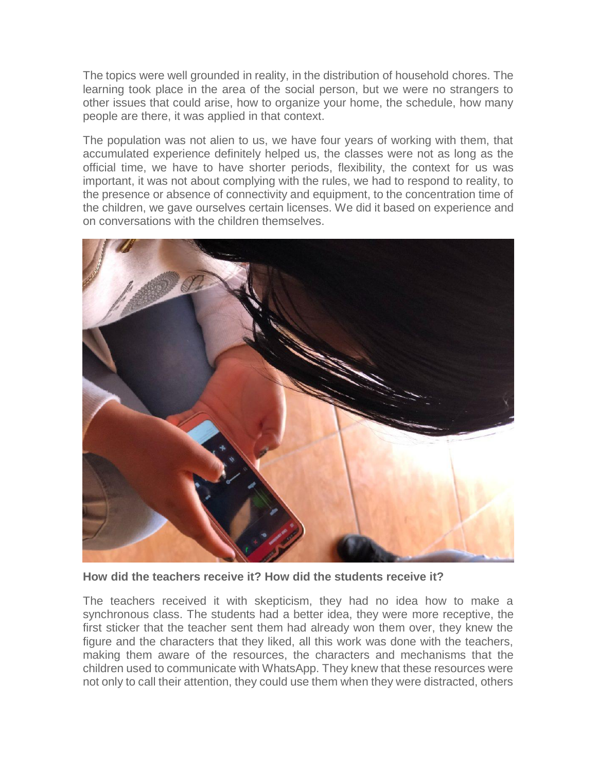The topics were well grounded in reality, in the distribution of household chores. The learning took place in the area of the social person, but we were no strangers to other issues that could arise, how to organize your home, the schedule, how many people are there, it was applied in that context.

The population was not alien to us, we have four years of working with them, that accumulated experience definitely helped us, the classes were not as long as the official time, we have to have shorter periods, flexibility, the context for us was important, it was not about complying with the rules, we had to respond to reality, to the presence or absence of connectivity and equipment, to the concentration time of the children, we gave ourselves certain licenses. We did it based on experience and on conversations with the children themselves.



**How did the teachers receive it? How did the students receive it?**

The teachers received it with skepticism, they had no idea how to make a synchronous class. The students had a better idea, they were more receptive, the first sticker that the teacher sent them had already won them over, they knew the figure and the characters that they liked, all this work was done with the teachers, making them aware of the resources, the characters and mechanisms that the children used to communicate with WhatsApp. They knew that these resources were not only to call their attention, they could use them when they were distracted, others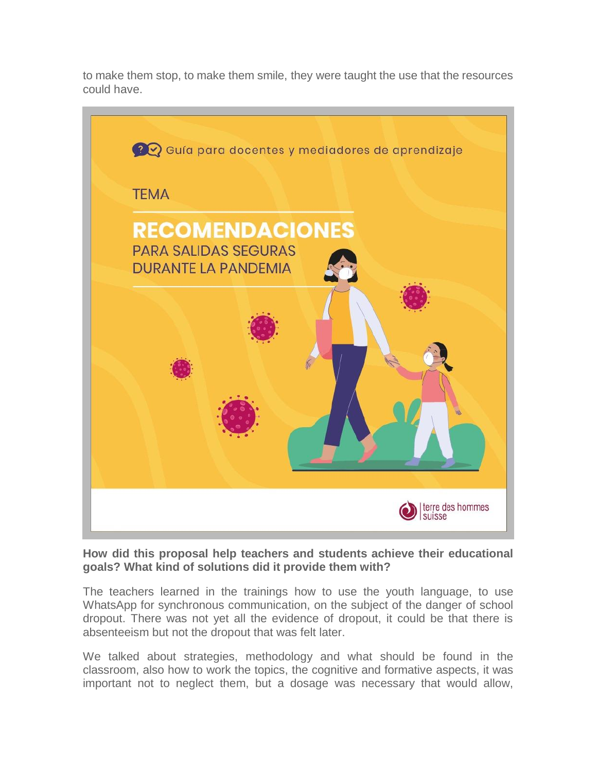to make them stop, to make them smile, they were taught the use that the resources could have.



**How did this proposal help teachers and students achieve their educational goals? What kind of solutions did it provide them with?**

The teachers learned in the trainings how to use the youth language, to use WhatsApp for synchronous communication, on the subject of the danger of school dropout. There was not yet all the evidence of dropout, it could be that there is absenteeism but not the dropout that was felt later.

We talked about strategies, methodology and what should be found in the classroom, also how to work the topics, the cognitive and formative aspects, it was important not to neglect them, but a dosage was necessary that would allow,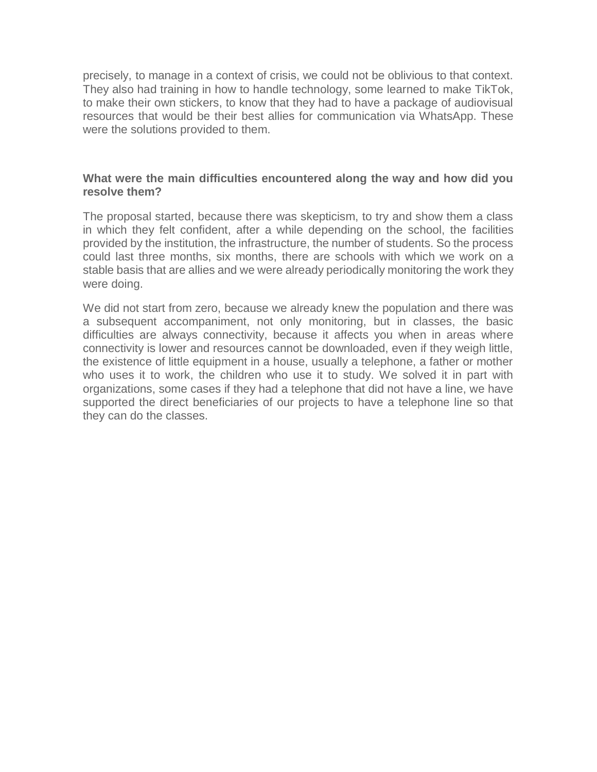precisely, to manage in a context of crisis, we could not be oblivious to that context. They also had training in how to handle technology, some learned to make TikTok, to make their own stickers, to know that they had to have a package of audiovisual resources that would be their best allies for communication via WhatsApp. These were the solutions provided to them.

## **What were the main difficulties encountered along the way and how did you resolve them?**

The proposal started, because there was skepticism, to try and show them a class in which they felt confident, after a while depending on the school, the facilities provided by the institution, the infrastructure, the number of students. So the process could last three months, six months, there are schools with which we work on a stable basis that are allies and we were already periodically monitoring the work they were doing.

We did not start from zero, because we already knew the population and there was a subsequent accompaniment, not only monitoring, but in classes, the basic difficulties are always connectivity, because it affects you when in areas where connectivity is lower and resources cannot be downloaded, even if they weigh little, the existence of little equipment in a house, usually a telephone, a father or mother who uses it to work, the children who use it to study. We solved it in part with organizations, some cases if they had a telephone that did not have a line, we have supported the direct beneficiaries of our projects to have a telephone line so that they can do the classes.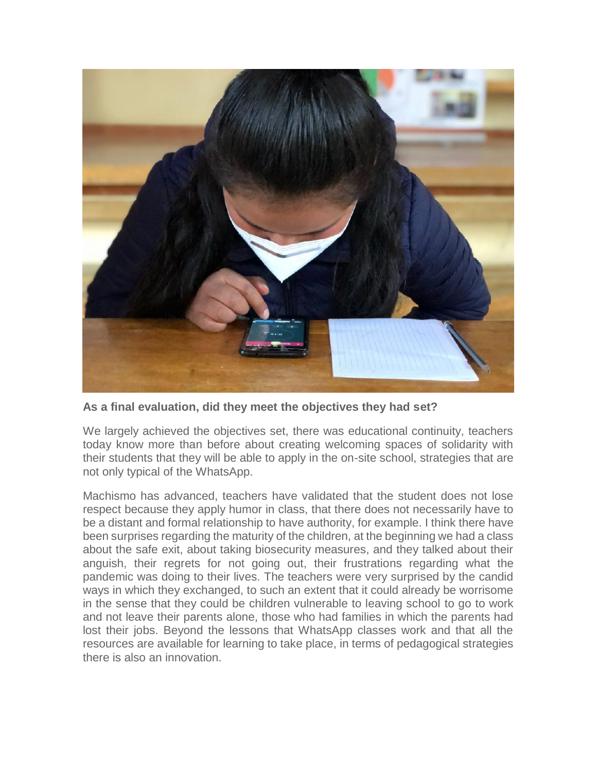

**As a final evaluation, did they meet the objectives they had set?**

We largely achieved the objectives set, there was educational continuity, teachers today know more than before about creating welcoming spaces of solidarity with their students that they will be able to apply in the on-site school, strategies that are not only typical of the WhatsApp.

Machismo has advanced, teachers have validated that the student does not lose respect because they apply humor in class, that there does not necessarily have to be a distant and formal relationship to have authority, for example. I think there have been surprises regarding the maturity of the children, at the beginning we had a class about the safe exit, about taking biosecurity measures, and they talked about their anguish, their regrets for not going out, their frustrations regarding what the pandemic was doing to their lives. The teachers were very surprised by the candid ways in which they exchanged, to such an extent that it could already be worrisome in the sense that they could be children vulnerable to leaving school to go to work and not leave their parents alone, those who had families in which the parents had lost their jobs. Beyond the lessons that WhatsApp classes work and that all the resources are available for learning to take place, in terms of pedagogical strategies there is also an innovation.